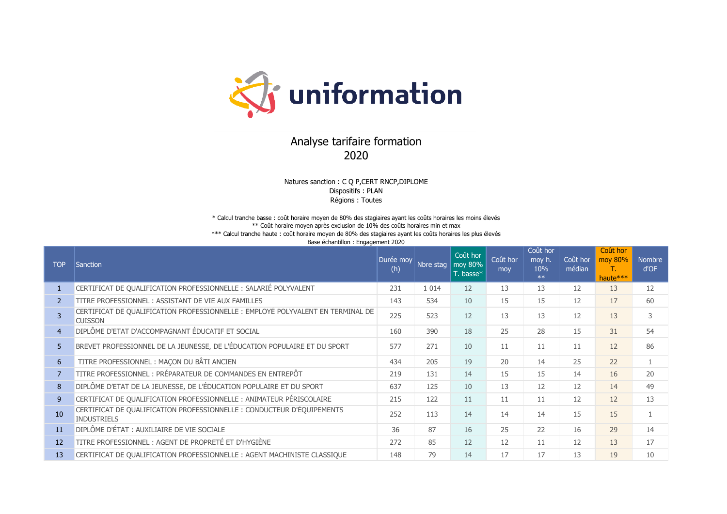

## Analyse tarifaire formation 2020

Natures sanction : C Q P,CERT RNCP,DIPLOME Dispositifs : PLAN Régions : Toutes

\* Calcul tranche basse : coût horaire moyen de 80% des stagiaires ayant les coûts horaires les moins élevés \*\* Coût horaire moyen après exclusion de 10% des coûts horaires min et max \*\*\* Calcul tranche haute : coût horaire moyen de 80% des stagiaires ayant les coûts horaires les plus élevés Base échantillon : Engagement 2020

| <b>TOP</b>     | <b>Sanction</b>                                                                                   | Durée mov<br>(h) | Nbre stag | Coût hor<br>moy 80%<br>T. basse* | Coût hor<br>mov | Coût hor<br>moy h.<br>10%<br>$**$ | Coût hor<br>médian | Coût hor<br>moy 80%<br>Т.,<br>haute*** | <b>Nombre</b><br>d'OF |
|----------------|---------------------------------------------------------------------------------------------------|------------------|-----------|----------------------------------|-----------------|-----------------------------------|--------------------|----------------------------------------|-----------------------|
|                | CERTIFICAT DE QUALIFICATION PROFESSIONNELLE : SALARIÉ POLYVALENT                                  | 231              | 1 0 1 4   | 12                               | 13              | 13                                | 12                 | 13                                     | 12                    |
| $\mathcal{P}$  | TITRE PROFESSIONNEL: ASSISTANT DE VIE AUX FAMILLES                                                | 143              | 534       | 10                               | 15              | 15                                | 12                 | 17                                     | 60                    |
| 3              | CERTIFICAT DE QUALIFICATION PROFESSIONNELLE : EMPLOYÉ POLYVALENT EN TERMINAL DE<br><b>CUISSON</b> | 225              | 523       | 12                               | 13              | 13                                | 12                 | 13                                     | 3                     |
| $\overline{4}$ | DIPLÔME D'ETAT D'ACCOMPAGNANT ÉDUCATIF ET SOCIAL                                                  | 160              | 390       | 18                               | 25              | 28                                | 15                 | 31                                     | 54                    |
| 5              | BREVET PROFESSIONNEL DE LA JEUNESSE, DE L'ÉDUCATION POPULAIRE ET DU SPORT                         | 577              | 271       | 10                               | 11              | 11                                | 11                 | 12                                     | 86                    |
| 6              | TITRE PROFESSIONNEL : MAÇON DU BÂTI ANCIEN                                                        | 434              | 205       | 19                               | 20              | 14                                | 25                 | 22                                     | $\mathbf{1}$          |
| $\overline{7}$ | TITRE PROFESSIONNEL : PRÉPARATEUR DE COMMANDES EN ENTREPÔT                                        | 219              | 131       | 14                               | 15              | 15                                | 14                 | 16                                     | 20                    |
| 8              | DIPLÔME D'ETAT DE LA JEUNESSE, DE L'ÉDUCATION POPULAIRE ET DU SPORT                               | 637              | 125       | 10                               | 13              | 12                                | 12                 | 14                                     | 49                    |
| 9 <sup>°</sup> | CERTIFICAT DE QUALIFICATION PROFESSIONNELLE : ANIMATEUR PÉRISCOLAIRE                              | 215              | 122       | 11                               | 11              | 11                                | 12                 | 12                                     | 13                    |
| 10             | CERTIFICAT DE QUALIFICATION PROFESSIONNELLE : CONDUCTEUR D'ÉQUIPEMENTS<br><b>INDUSTRIELS</b>      | 252              | 113       | 14                               | 14              | 14                                | 15                 | 15                                     |                       |
| 11             | DIPLÔME D'ÉTAT : AUXILIAIRE DE VIE SOCIALE                                                        | 36               | 87        | 16                               | 25              | 22                                | 16                 | 29                                     | 14                    |
| 12             | TITRE PROFESSIONNEL : AGENT DE PROPRETÉ ET D'HYGIÈNE                                              | 272              | 85        | 12                               | 12              | 11                                | 12                 | 13                                     | 17                    |
| 13             | CERTIFICAT DE QUALIFICATION PROFESSIONNELLE : AGENT MACHINISTE CLASSIQUE                          | 148              | 79        | 14                               | 17              | 17                                | 13                 | 19                                     | 10                    |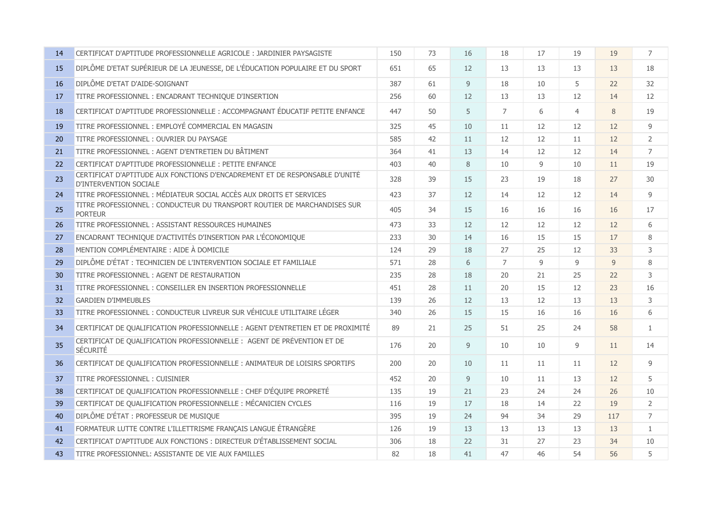| 14 | CERTIFICAT D'APTITUDE PROFESSIONNELLE AGRICOLE : JARDINIER PAYSAGISTE                                 | 150 | 73 | 16 | 18             | 17             | 19             | 19  | 7              |
|----|-------------------------------------------------------------------------------------------------------|-----|----|----|----------------|----------------|----------------|-----|----------------|
| 15 | DIPLÔME D'ETAT SUPÉRIEUR DE LA JEUNESSE, DE L'ÉDUCATION POPULAIRE ET DU SPORT                         | 651 | 65 | 12 | 13             | 13             | 13             | 13  | 18             |
| 16 | DIPLÔME D'ETAT D'AIDE-SOIGNANT                                                                        | 387 | 61 | 9  | 18             | 10             | 5              | 22  | 32             |
| 17 | TITRE PROFESSIONNEL : ENCADRANT TECHNIQUE D'INSERTION                                                 | 256 | 60 | 12 | 13             | 13             | 12             | 14  | 12             |
| 18 | CERTIFICAT D'APTITUDE PROFESSIONNELLE : ACCOMPAGNANT ÉDUCATIF PETITE ENFANCE                          | 447 | 50 | 5  | $\overline{7}$ | 6              | $\overline{4}$ | 8   | 19             |
| 19 | TITRE PROFESSIONNEL : EMPLOYÉ COMMERCIAL EN MAGASIN                                                   | 325 | 45 | 10 | 11             | 12             | 12             | 12  | 9              |
| 20 | TITRE PROFESSIONNEL : OUVRIER DU PAYSAGE                                                              | 585 | 42 | 11 | 12             | 12             | 11             | 12  | $\overline{2}$ |
| 21 | TITRE PROFESSIONNEL : AGENT D'ENTRETIEN DU BÂTIMENT                                                   | 364 | 41 | 13 | 14             | 12             | 12             | 14  | $\overline{7}$ |
| 22 | CERTIFICAT D'APTITUDE PROFESSIONNELLE : PETITE ENFANCE                                                | 403 | 40 | 8  | 10             | $\overline{9}$ | 10             | 11  | 19             |
| 23 | CERTIFICAT D'APTITUDE AUX FONCTIONS D'ENCADREMENT ET DE RESPONSABLE D'UNITÉ<br>D'INTERVENTION SOCIALE | 328 | 39 | 15 | 23             | 19             | 18             | 27  | 30             |
| 24 | TITRE PROFESSIONNEL : MÉDIATEUR SOCIAL ACCÈS AUX DROITS ET SERVICES                                   | 423 | 37 | 12 | 14             | 12             | 12             | 14  | 9              |
| 25 | TITRE PROFESSIONNEL: CONDUCTEUR DU TRANSPORT ROUTIER DE MARCHANDISES SUR<br><b>PORTEUR</b>            | 405 | 34 | 15 | 16             | 16             | 16             | 16  | 17             |
| 26 | TITRE PROFESSIONNEL : ASSISTANT RESSOURCES HUMAINES                                                   | 473 | 33 | 12 | 12             | 12             | 12             | 12  | 6              |
| 27 | ENCADRANT TECHNIQUE D'ACTIVITÉS D'INSERTION PAR L'ÉCONOMIQUE                                          | 233 | 30 | 14 | 16             | 15             | 15             | 17  | 8              |
| 28 | MENTION COMPLÉMENTAIRE : AIDE À DOMICILE                                                              | 124 | 29 | 18 | 27             | 25             | 12             | 33  | 3              |
| 29 | DIPLÔME D'ÉTAT : TECHNICIEN DE L'INTERVENTION SOCIALE ET FAMILIALE                                    | 571 | 28 | 6  | $\overline{7}$ | $\overline{9}$ | 9              | 9   | 8              |
| 30 | TITRE PROFESSIONNEL: AGENT DE RESTAURATION                                                            | 235 | 28 | 18 | 20             | 21             | 25             | 22  | 3              |
| 31 | TITRE PROFESSIONNEL: CONSEILLER EN INSERTION PROFESSIONNELLE                                          | 451 | 28 | 11 | 20             | 15             | 12             | 23  | 16             |
| 32 | <b>GARDIEN D'IMMEUBLES</b>                                                                            | 139 | 26 | 12 | 13             | 12             | 13             | 13  | $\mathsf 3$    |
| 33 | TITRE PROFESSIONNEL : CONDUCTEUR LIVREUR SUR VÉHICULE UTILITAIRE LÉGER                                | 340 | 26 | 15 | 15             | 16             | 16             | 16  | 6              |
| 34 | CERTIFICAT DE QUALIFICATION PROFESSIONNELLE : AGENT D'ENTRETIEN ET DE PROXIMITÉ                       | 89  | 21 | 25 | 51             | 25             | 24             | 58  | $\mathbf{1}$   |
| 35 | CERTIFICAT DE QUALIFICATION PROFESSIONNELLE : AGENT DE PRÉVENTION ET DE<br>SÉCURITÉ                   | 176 | 20 | 9  | 10             | 10             | 9              | 11  | 14             |
| 36 | CERTIFICAT DE QUALIFICATION PROFESSIONNELLE : ANIMATEUR DE LOISIRS SPORTIFS                           | 200 | 20 | 10 | 11             | 11             | 11             | 12  | 9              |
| 37 | TITRE PROFESSIONNEL: CUISINIER                                                                        | 452 | 20 | 9  | 10             | 11             | 13             | 12  | 5              |
| 38 | CERTIFICAT DE QUALIFICATION PROFESSIONNELLE : CHEF D'ÉQUIPE PROPRETÉ                                  | 135 | 19 | 21 | 23             | 24             | 24             | 26  | 10             |
| 39 | CERTIFICAT DE QUALIFICATION PROFESSIONNELLE : MÉCANICIEN CYCLES                                       | 116 | 19 | 17 | 18             | 14             | 22             | 19  | $\overline{2}$ |
| 40 | DIPLÔME D'ÉTAT : PROFESSEUR DE MUSIQUE                                                                | 395 | 19 | 24 | 94             | 34             | 29             | 117 | $\overline{7}$ |
| 41 | FORMATEUR LUTTE CONTRE L'ILLETTRISME FRANÇAIS LANGUE ÉTRANGÈRE                                        | 126 | 19 | 13 | 13             | 13             | 13             | 13  | $\mathbf{1}$   |
| 42 | CERTIFICAT D'APTITUDE AUX FONCTIONS : DIRECTEUR D'ÉTABLISSEMENT SOCIAL                                | 306 | 18 | 22 | 31             | 27             | 23             | 34  | 10             |
| 43 | TITRE PROFESSIONNEL: ASSISTANTE DE VIE AUX FAMILLES                                                   | 82  | 18 | 41 | 47             | 46             | 54             | 56  | 5              |